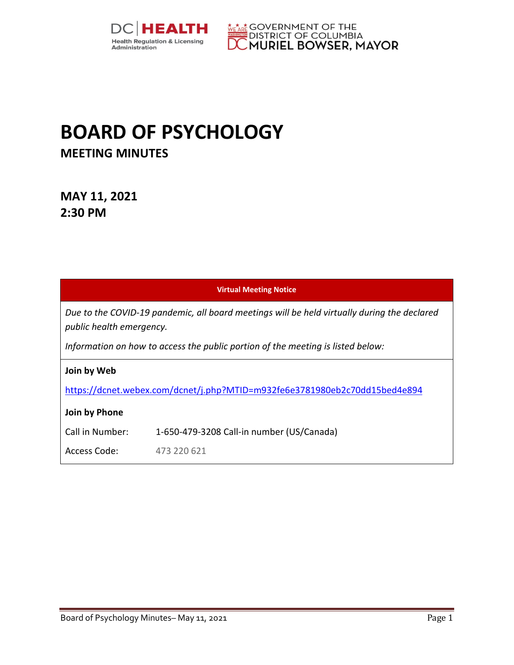



# **BOARD OF PSYCHOLOGY MEETING MINUTES**

**MAY 11, 2021 2:30 PM** 

| <b>Virtual Meeting Notice</b>                                                                                           |                                           |  |
|-------------------------------------------------------------------------------------------------------------------------|-------------------------------------------|--|
| Due to the COVID-19 pandemic, all board meetings will be held virtually during the declared<br>public health emergency. |                                           |  |
| Information on how to access the public portion of the meeting is listed below:                                         |                                           |  |
| Join by Web                                                                                                             |                                           |  |
| https://dcnet.webex.com/dcnet/j.php?MTID=m932fe6e3781980eb2c70dd15bed4e894                                              |                                           |  |
| Join by Phone                                                                                                           |                                           |  |
| Call in Number:                                                                                                         | 1-650-479-3208 Call-in number (US/Canada) |  |
| Access Code:                                                                                                            | 473 220 621                               |  |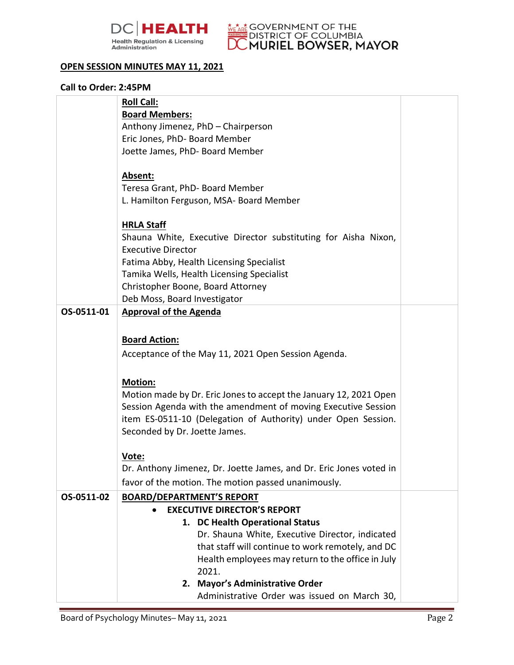



### **OPEN SESSION MINUTES MAY 11, 2021**

#### **Call to Order: 2:45PM**

|            | <b>Roll Call:</b>                                                                                      |  |
|------------|--------------------------------------------------------------------------------------------------------|--|
|            | <b>Board Members:</b>                                                                                  |  |
|            | Anthony Jimenez, PhD - Chairperson                                                                     |  |
|            | Eric Jones, PhD- Board Member                                                                          |  |
|            | Joette James, PhD- Board Member                                                                        |  |
|            |                                                                                                        |  |
|            | Absent:                                                                                                |  |
|            | Teresa Grant, PhD- Board Member                                                                        |  |
|            | L. Hamilton Ferguson, MSA- Board Member                                                                |  |
|            | <b>HRLA Staff</b>                                                                                      |  |
|            | Shauna White, Executive Director substituting for Aisha Nixon,                                         |  |
|            | <b>Executive Director</b>                                                                              |  |
|            | Fatima Abby, Health Licensing Specialist                                                               |  |
|            | Tamika Wells, Health Licensing Specialist                                                              |  |
|            | Christopher Boone, Board Attorney                                                                      |  |
|            | Deb Moss, Board Investigator                                                                           |  |
| OS-0511-01 | <b>Approval of the Agenda</b>                                                                          |  |
|            |                                                                                                        |  |
|            | <b>Board Action:</b>                                                                                   |  |
|            |                                                                                                        |  |
|            | Acceptance of the May 11, 2021 Open Session Agenda.                                                    |  |
|            | Motion:                                                                                                |  |
|            | Motion made by Dr. Eric Jones to accept the January 12, 2021 Open                                      |  |
|            | Session Agenda with the amendment of moving Executive Session                                          |  |
|            | item ES-0511-10 (Delegation of Authority) under Open Session.                                          |  |
|            | Seconded by Dr. Joette James.                                                                          |  |
|            |                                                                                                        |  |
|            | Vote:                                                                                                  |  |
|            | Dr. Anthony Jimenez, Dr. Joette James, and Dr. Eric Jones voted in                                     |  |
|            | favor of the motion. The motion passed unanimously.                                                    |  |
| OS-0511-02 | <b>BOARD/DEPARTMENT'S REPORT</b>                                                                       |  |
|            | <b>EXECUTIVE DIRECTOR'S REPORT</b>                                                                     |  |
|            |                                                                                                        |  |
|            | 1. DC Health Operational Status                                                                        |  |
|            | Dr. Shauna White, Executive Director, indicated                                                        |  |
|            | that staff will continue to work remotely, and DC<br>Health employees may return to the office in July |  |
|            | 2021.                                                                                                  |  |
|            | 2. Mayor's Administrative Order                                                                        |  |
|            | Administrative Order was issued on March 30,                                                           |  |
|            |                                                                                                        |  |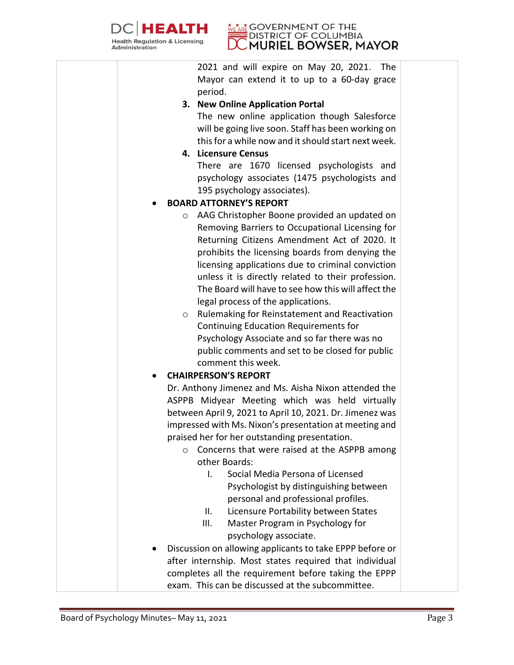

#### **GOVERNMENT OF THE DISTRICT OF COLUMBIA** MURIEL BOWSER, MAYOR

2021 and will expire on May 20, 2021. The Mayor can extend it to up to a 60-day grace period.

## **3. New Online Application Portal**

The new online application though Salesforce will be going live soon. Staff has been working on this for a while now and it should start next week.

## **4. Licensure Census**

There are 1670 licensed psychologists and psychology associates (1475 psychologists and 195 psychology associates).

## • **BOARD ATTORNEY'S REPORT**

- o AAG Christopher Boone provided an updated on Removing Barriers to Occupational Licensing for Returning Citizens Amendment Act of 2020. It prohibits the licensing boards from denying the licensing applications due to criminal conviction unless it is directly related to their profession. The Board will have to see how this will affect the legal process of the applications.
- o Rulemaking for Reinstatement and Reactivation Continuing Education Requirements for Psychology Associate and so far there was no public comments and set to be closed for public comment this week.

# • **CHAIRPERSON'S REPORT**

Dr. Anthony Jimenez and Ms. Aisha Nixon attended the ASPPB Midyear Meeting which was held virtually between April 9, 2021 to April 10, 2021. Dr. Jimenez was impressed with Ms. Nixon's presentation at meeting and praised her for her outstanding presentation.

- o Concerns that were raised at the ASPPB among other Boards:
	- I. Social Media Persona of Licensed Psychologist by distinguishing between personal and professional profiles.
	- II. Licensure Portability between States
	- III. Master Program in Psychology for psychology associate.
- Discussion on allowing applicants to take EPPP before or after internship. Most states required that individual completes all the requirement before taking the EPPP exam. This can be discussed at the subcommittee.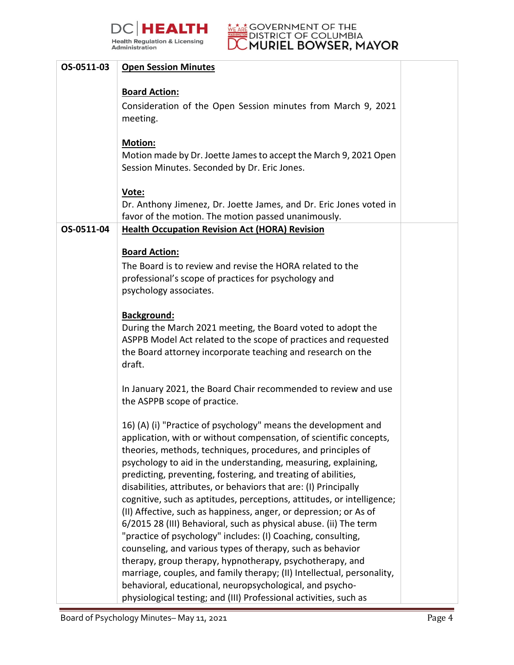



| OS-0511-03 | <b>Open Session Minutes</b>                                                                                                    |  |
|------------|--------------------------------------------------------------------------------------------------------------------------------|--|
|            | <b>Board Action:</b>                                                                                                           |  |
|            | Consideration of the Open Session minutes from March 9, 2021                                                                   |  |
|            | meeting.                                                                                                                       |  |
|            |                                                                                                                                |  |
|            | Motion:                                                                                                                        |  |
|            | Motion made by Dr. Joette James to accept the March 9, 2021 Open                                                               |  |
|            | Session Minutes. Seconded by Dr. Eric Jones.                                                                                   |  |
|            | Vote:                                                                                                                          |  |
|            | Dr. Anthony Jimenez, Dr. Joette James, and Dr. Eric Jones voted in                                                             |  |
|            | favor of the motion. The motion passed unanimously.                                                                            |  |
| OS-0511-04 | <b>Health Occupation Revision Act (HORA) Revision</b>                                                                          |  |
|            |                                                                                                                                |  |
|            | <b>Board Action:</b>                                                                                                           |  |
|            | The Board is to review and revise the HORA related to the                                                                      |  |
|            | professional's scope of practices for psychology and<br>psychology associates.                                                 |  |
|            |                                                                                                                                |  |
|            | <b>Background:</b>                                                                                                             |  |
|            | During the March 2021 meeting, the Board voted to adopt the                                                                    |  |
|            | ASPPB Model Act related to the scope of practices and requested                                                                |  |
|            | the Board attorney incorporate teaching and research on the                                                                    |  |
|            | draft.                                                                                                                         |  |
|            | In January 2021, the Board Chair recommended to review and use                                                                 |  |
|            | the ASPPB scope of practice.                                                                                                   |  |
|            |                                                                                                                                |  |
|            | 16) (A) (i) "Practice of psychology" means the development and                                                                 |  |
|            | application, with or without compensation, of scientific concepts,                                                             |  |
|            | theories, methods, techniques, procedures, and principles of<br>psychology to aid in the understanding, measuring, explaining, |  |
|            | predicting, preventing, fostering, and treating of abilities,                                                                  |  |
|            | disabilities, attributes, or behaviors that are: (I) Principally                                                               |  |
|            | cognitive, such as aptitudes, perceptions, attitudes, or intelligence;                                                         |  |
|            | (II) Affective, such as happiness, anger, or depression; or As of                                                              |  |
|            | 6/2015 28 (III) Behavioral, such as physical abuse. (ii) The term                                                              |  |
|            | "practice of psychology" includes: (I) Coaching, consulting,                                                                   |  |
|            | counseling, and various types of therapy, such as behavior<br>therapy, group therapy, hypnotherapy, psychotherapy, and         |  |
|            | marriage, couples, and family therapy; (II) Intellectual, personality,                                                         |  |
|            | behavioral, educational, neuropsychological, and psycho-                                                                       |  |
|            | physiological testing; and (III) Professional activities, such as                                                              |  |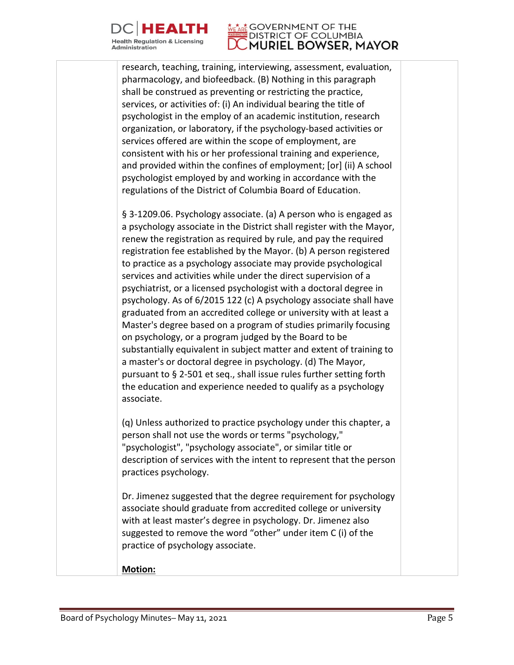

#### **GOVERNMENT OF THE DISTRICT OF COLUMBIA** MURIEL BOWSER, MAYOR

research, teaching, training, interviewing, assessment, evaluation, pharmacology, and biofeedback. (B) Nothing in this paragraph shall be construed as preventing or restricting the practice, services, or activities of: (i) An individual bearing the title of psychologist in the employ of an academic institution, research organization, or laboratory, if the psychology-based activities or services offered are within the scope of employment, are consistent with his or her professional training and experience, and provided within the confines of employment; [or] (ii) A school psychologist employed by and working in accordance with the regulations of the District of Columbia Board of Education.

§ 3-1209.06. Psychology associate. (a) A person who is engaged as a psychology associate in the District shall register with the Mayor, renew the registration as required by rule, and pay the required registration fee established by the Mayor. (b) A person registered to practice as a psychology associate may provide psychological services and activities while under the direct supervision of a psychiatrist, or a licensed psychologist with a doctoral degree in psychology. As of 6/2015 122 (c) A psychology associate shall have graduated from an accredited college or university with at least a Master's degree based on a program of studies primarily focusing on psychology, or a program judged by the Board to be substantially equivalent in subject matter and extent of training to a master's or doctoral degree in psychology. (d) The Mayor, pursuant to § 2-501 et seq., shall issue rules further setting forth the education and experience needed to qualify as a psychology associate.

(q) Unless authorized to practice psychology under this chapter, a person shall not use the words or terms "psychology," "psychologist", "psychology associate", or similar title or description of services with the intent to represent that the person practices psychology.

Dr. Jimenez suggested that the degree requirement for psychology associate should graduate from accredited college or university with at least master's degree in psychology. Dr. Jimenez also suggested to remove the word "other" under item C (i) of the practice of psychology associate.

**Motion:**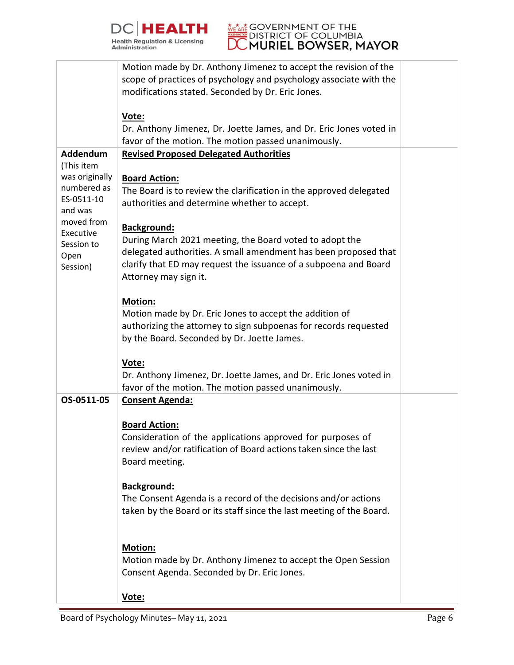



|                                      | Motion made by Dr. Anthony Jimenez to accept the revision of the<br>scope of practices of psychology and psychology associate with the |  |
|--------------------------------------|----------------------------------------------------------------------------------------------------------------------------------------|--|
|                                      | modifications stated. Seconded by Dr. Eric Jones.                                                                                      |  |
|                                      | Vote:<br>Dr. Anthony Jimenez, Dr. Joette James, and Dr. Eric Jones voted in<br>favor of the motion. The motion passed unanimously.     |  |
| Addendum<br>(This item               | <b>Revised Proposed Delegated Authorities</b>                                                                                          |  |
| was originally                       | <b>Board Action:</b>                                                                                                                   |  |
| numbered as<br>ES-0511-10<br>and was | The Board is to review the clarification in the approved delegated<br>authorities and determine whether to accept.                     |  |
| moved from                           | <b>Background:</b>                                                                                                                     |  |
| Executive<br>Session to<br>Open      | During March 2021 meeting, the Board voted to adopt the<br>delegated authorities. A small amendment has been proposed that             |  |
| Session)                             | clarify that ED may request the issuance of a subpoena and Board<br>Attorney may sign it.                                              |  |
|                                      | Motion:                                                                                                                                |  |
|                                      | Motion made by Dr. Eric Jones to accept the addition of                                                                                |  |
|                                      | authorizing the attorney to sign subpoenas for records requested<br>by the Board. Seconded by Dr. Joette James.                        |  |
|                                      |                                                                                                                                        |  |
|                                      | Vote:<br>Dr. Anthony Jimenez, Dr. Joette James, and Dr. Eric Jones voted in                                                            |  |
|                                      | favor of the motion. The motion passed unanimously.                                                                                    |  |
| OS-0511-05                           | <b>Consent Agenda:</b>                                                                                                                 |  |
|                                      | <b>Board Action:</b>                                                                                                                   |  |
|                                      | Consideration of the applications approved for purposes of                                                                             |  |
|                                      | review and/or ratification of Board actions taken since the last<br>Board meeting.                                                     |  |
|                                      |                                                                                                                                        |  |
|                                      | <b>Background:</b><br>The Consent Agenda is a record of the decisions and/or actions                                                   |  |
|                                      | taken by the Board or its staff since the last meeting of the Board.                                                                   |  |
|                                      |                                                                                                                                        |  |
|                                      | Motion:                                                                                                                                |  |
|                                      | Motion made by Dr. Anthony Jimenez to accept the Open Session<br>Consent Agenda. Seconded by Dr. Eric Jones.                           |  |
|                                      | Vote:                                                                                                                                  |  |